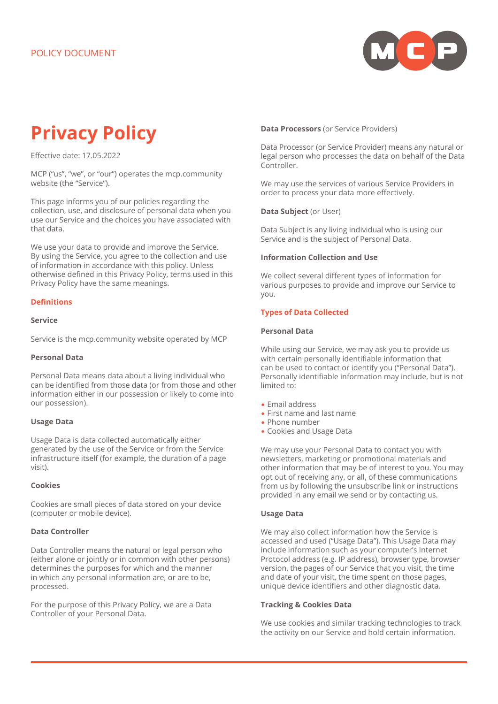

# **Privacy Policy**

Effective date: 17.05.2022

MCP ("us", "we", or "our") operates the mcp.community website (the "Service").

This page informs you of our policies regarding the collection, use, and disclosure of personal data when you use our Service and the choices you have associated with that data.

We use your data to provide and improve the Service. By using the Service, you agree to the collection and use of information in accordance with this policy. Unless otherwise defined in this Privacy Policy, terms used in this Privacy Policy have the same meanings.

#### **Definitions**

#### **Service**

Service is the mcp.community website operated by MCP

#### **Personal Data**

Personal Data means data about a living individual who can be identified from those data (or from those and other information either in our possession or likely to come into our possession).

#### **Usage Data**

Usage Data is data collected automatically either generated by the use of the Service or from the Service infrastructure itself (for example, the duration of a page visit).

#### **Cookies**

Cookies are small pieces of data stored on your device (computer or mobile device).

#### **Data Controller**

Data Controller means the natural or legal person who (either alone or jointly or in common with other persons) determines the purposes for which and the manner in which any personal information are, or are to be, processed.

For the purpose of this Privacy Policy, we are a Data Controller of your Personal Data.

#### **Data Processors** (or Service Providers)

Data Processor (or Service Provider) means any natural or legal person who processes the data on behalf of the Data Controller.

We may use the services of various Service Providers in order to process your data more effectively.

#### **Data Subject** (or User)

Data Subject is any living individual who is using our Service and is the subject of Personal Data.

#### **Information Collection and Use**

We collect several different types of information for various purposes to provide and improve our Service to you.

#### **Types of Data Collected**

#### **Personal Data**

While using our Service, we may ask you to provide us with certain personally identifiable information that can be used to contact or identify you ("Personal Data"). Personally identifiable information may include, but is not limited to:

- Email address
- � First name and last name
- � Phone number
- � Cookies and Usage Data

We may use your Personal Data to contact you with newsletters, marketing or promotional materials and other information that may be of interest to you. You may opt out of receiving any, or all, of these communications from us by following the unsubscribe link or instructions provided in any email we send or by contacting us.

#### **Usage Data**

We may also collect information how the Service is accessed and used ("Usage Data"). This Usage Data may include information such as your computer's Internet Protocol address (e.g. IP address), browser type, browser version, the pages of our Service that you visit, the time and date of your visit, the time spent on those pages, unique device identifiers and other diagnostic data.

#### **Tracking & Cookies Data**

We use cookies and similar tracking technologies to track the activity on our Service and hold certain information.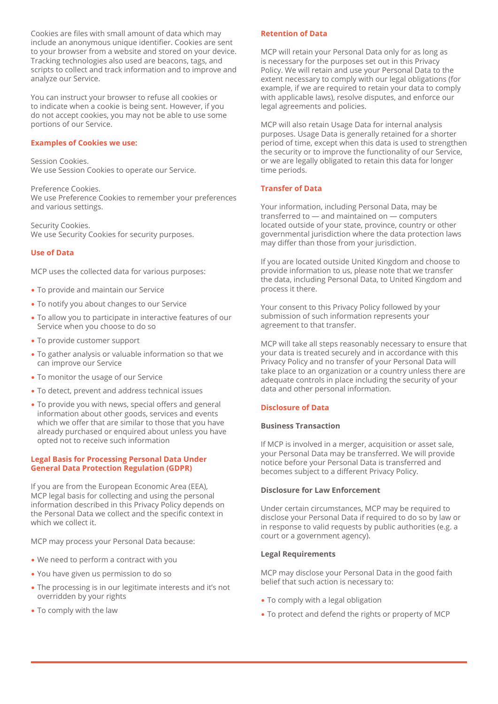Cookies are files with small amount of data which may include an anonymous unique identifier. Cookies are sent to your browser from a website and stored on your device. Tracking technologies also used are beacons, tags, and scripts to collect and track information and to improve and analyze our Service.

You can instruct your browser to refuse all cookies or to indicate when a cookie is being sent. However, if you do not accept cookies, you may not be able to use some portions of our Service.

#### **Examples of Cookies we use:**

Session Cookies. We use Session Cookies to operate our Service.

Preference Cookies. We use Preference Cookies to remember your preferences and various settings.

Security Cookies. We use Security Cookies for security purposes.

#### **Use of Data**

MCP uses the collected data for various purposes:

- To provide and maintain our Service
- To notify you about changes to our Service
- � To allow you to participate in interactive features of our Service when you choose to do so
- � To provide customer support
- � To gather analysis or valuable information so that we can improve our Service
- To monitor the usage of our Service
- � To detect, prevent and address technical issues
- � To provide you with news, special offers and general information about other goods, services and events which we offer that are similar to those that you have already purchased or enquired about unless you have opted not to receive such information

#### **Legal Basis for Processing Personal Data Under General Data Protection Regulation (GDPR)**

If you are from the European Economic Area (EEA), MCP legal basis for collecting and using the personal information described in this Privacy Policy depends on the Personal Data we collect and the specific context in which we collect it.

MCP may process your Personal Data because:

- � We need to perform a contract with you
- � You have given us permission to do so
- The processing is in our legitimate interests and it's not overridden by your rights
- To comply with the law

#### **Retention of Data**

MCP will retain your Personal Data only for as long as is necessary for the purposes set out in this Privacy Policy. We will retain and use your Personal Data to the extent necessary to comply with our legal obligations (for example, if we are required to retain your data to comply with applicable laws), resolve disputes, and enforce our legal agreements and policies.

MCP will also retain Usage Data for internal analysis purposes. Usage Data is generally retained for a shorter period of time, except when this data is used to strengthen the security or to improve the functionality of our Service, or we are legally obligated to retain this data for longer time periods.

## **Transfer of Data**

Your information, including Personal Data, may be transferred to — and maintained on — computers located outside of your state, province, country or other governmental jurisdiction where the data protection laws may differ than those from your jurisdiction.

If you are located outside United Kingdom and choose to provide information to us, please note that we transfer the data, including Personal Data, to United Kingdom and process it there.

Your consent to this Privacy Policy followed by your submission of such information represents your agreement to that transfer.

MCP will take all steps reasonably necessary to ensure that your data is treated securely and in accordance with this Privacy Policy and no transfer of your Personal Data will take place to an organization or a country unless there are adequate controls in place including the security of your data and other personal information.

#### **Disclosure of Data**

#### **Business Transaction**

If MCP is involved in a merger, acquisition or asset sale, your Personal Data may be transferred. We will provide notice before your Personal Data is transferred and becomes subject to a different Privacy Policy.

#### **Disclosure for Law Enforcement**

Under certain circumstances, MCP may be required to disclose your Personal Data if required to do so by law or in response to valid requests by public authorities (e.g. a court or a government agency).

#### **Legal Requirements**

MCP may disclose your Personal Data in the good faith belief that such action is necessary to:

- To comply with a legal obligation
- To protect and defend the rights or property of MCP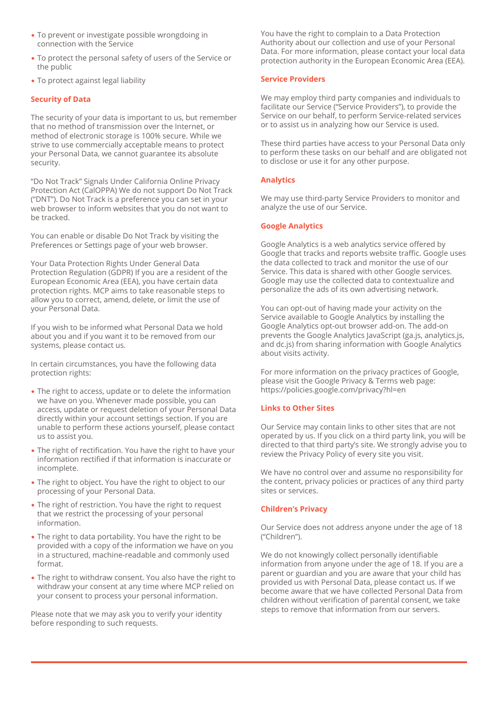- � To prevent or investigate possible wrongdoing in connection with the Service
- � To protect the personal safety of users of the Service or the public
- To protect against legal liability

## **Security of Data**

The security of your data is important to us, but remember that no method of transmission over the Internet, or method of electronic storage is 100% secure. While we strive to use commercially acceptable means to protect your Personal Data, we cannot guarantee its absolute security.

"Do Not Track" Signals Under California Online Privacy Protection Act (CalOPPA) We do not support Do Not Track ("DNT"). Do Not Track is a preference you can set in your web browser to inform websites that you do not want to be tracked.

You can enable or disable Do Not Track by visiting the Preferences or Settings page of your web browser.

Your Data Protection Rights Under General Data Protection Regulation (GDPR) If you are a resident of the European Economic Area (EEA), you have certain data protection rights. MCP aims to take reasonable steps to allow you to correct, amend, delete, or limit the use of your Personal Data.

If you wish to be informed what Personal Data we hold about you and if you want it to be removed from our systems, please contact us.

In certain circumstances, you have the following data protection rights:

- � The right to access, update or to delete the information we have on you. Whenever made possible, you can access, update or request deletion of your Personal Data directly within your account settings section. If you are unable to perform these actions yourself, please contact us to assist you.
- The right of rectification. You have the right to have your information rectified if that information is inaccurate or incomplete.
- � The right to object. You have the right to object to our processing of your Personal Data.
- The right of restriction. You have the right to request that we restrict the processing of your personal information.
- � The right to data portability. You have the right to be provided with a copy of the information we have on you in a structured, machine-readable and commonly used format.
- � The right to withdraw consent. You also have the right to withdraw your consent at any time where MCP relied on your consent to process your personal information.

Please note that we may ask you to verify your identity before responding to such requests.

You have the right to complain to a Data Protection Authority about our collection and use of your Personal Data. For more information, please contact your local data protection authority in the European Economic Area (EEA).

# **Service Providers**

We may employ third party companies and individuals to facilitate our Service ("Service Providers"), to provide the Service on our behalf, to perform Service-related services or to assist us in analyzing how our Service is used.

These third parties have access to your Personal Data only to perform these tasks on our behalf and are obligated not to disclose or use it for any other purpose.

#### **Analytics**

We may use third-party Service Providers to monitor and analyze the use of our Service.

## **Google Analytics**

Google Analytics is a web analytics service offered by Google that tracks and reports website traffic. Google uses the data collected to track and monitor the use of our Service. This data is shared with other Google services. Google may use the collected data to contextualize and personalize the ads of its own advertising network.

You can opt-out of having made your activity on the Service available to Google Analytics by installing the Google Analytics opt-out browser add-on. The add-on prevents the Google Analytics JavaScript (ga.js, analytics.js, and dc.js) from sharing information with Google Analytics about visits activity.

For more information on the privacy practices of Google, please visit the Google Privacy & Terms web page: https://policies.google.com/privacy?hl=en

# **Links to Other Sites**

Our Service may contain links to other sites that are not operated by us. If you click on a third party link, you will be directed to that third party's site. We strongly advise you to review the Privacy Policy of every site you visit.

We have no control over and assume no responsibility for the content, privacy policies or practices of any third party sites or services.

#### **Children's Privacy**

Our Service does not address anyone under the age of 18 ("Children").

We do not knowingly collect personally identifiable information from anyone under the age of 18. If you are a parent or guardian and you are aware that your child has provided us with Personal Data, please contact us. If we become aware that we have collected Personal Data from children without verification of parental consent, we take steps to remove that information from our servers.